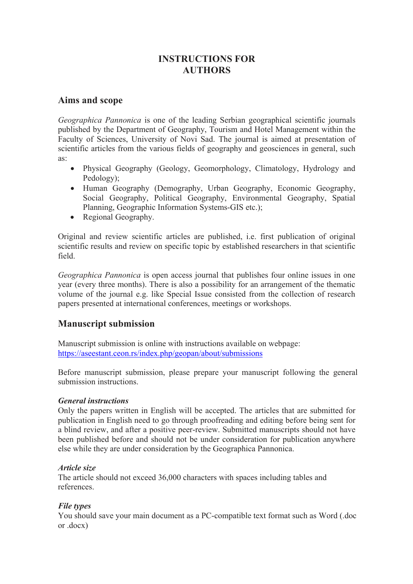# **INSTRUCTIONS FOR AUTHORS**

## **Aims and scope**

*Geographica Pannonica* is one of the leading Serbian geographical scientific journals published by the Department of Geography, Tourism and Hotel Management within the Faculty of Sciences, University of Novi Sad. The journal is aimed at presentation of scientific articles from the various fields of geography and geosciences in general, such as:

- Physical Geography (Geology, Geomorphology, Climatology, Hydrology and Pedology);
- Human Geography (Demography, Urban Geography, Economic Geography, Social Geography, Political Geography, Environmental Geography, Spatial Planning, Geographic Information Systems-GIS etc.);
- Regional Geography.

Original and review scientific articles are published, i.e. first publication of original scientific results and review on specific topic by established researchers in that scientific field.

*Geographica Pannonica* is open access journal that publishes four online issues in one year (every three months). There is also a possibility for an arrangement of the thematic volume of the journal e.g. like Special Issue consisted from the collection of research papers presented at international conferences, meetings or workshops.

## **Manuscript submission**

Manuscript submission is online with instructions available on webpage: https://aseestant.ceon.rs/index.php/geopan/about/submissions

Before manuscript submission, please prepare your manuscript following the general submission instructions.

## *General instructions*

Only the papers written in English will be accepted. The articles that are submitted for publication in English need to go through proofreading and editing before being sent for a blind review, and after a positive peer-review. Submitted manuscripts should not have been published before and should not be under consideration for publication anywhere else while they are under consideration by the Geographica Pannonica.

## *Article size*

The article should not exceed 36,000 characters with spaces including tables and references.

## *File types*

You should save your main document as a PC-compatible text format such as Word (.doc or .docx)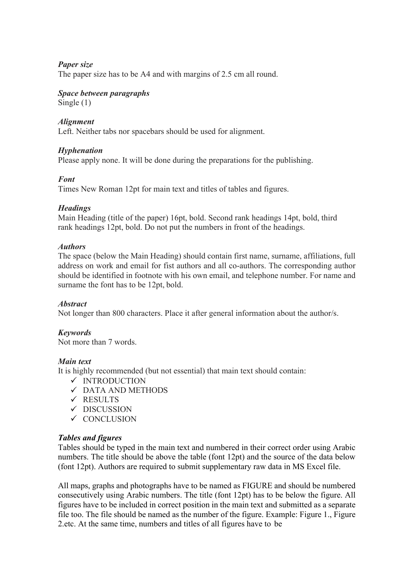## *Paper size*

The paper size has to be A4 and with margins of 2.5 cm all round.

## *Space between paragraphs*

Single (1)

## *Alignment*

Left. Neither tabs nor spacebars should be used for alignment.

## *Hyphenation*

Please apply none. It will be done during the preparations for the publishing.

## *Font*

Times New Roman 12pt for main text and titles of tables and figures.

## *Headings*

Main Heading (title of the paper) 16pt, bold. Second rank headings 14pt, bold, third rank headings 12pt, bold. Do not put the numbers in front of the headings.

## *Authors*

The space (below the Main Heading) should contain first name, surname, affiliations, full address on work and email for fist authors and all co-authors. The corresponding author should be identified in footnote with his own email, and telephone number. For name and surname the font has to be 12pt, bold.

## *Abstract*

Not longer than 800 characters. Place it after general information about the author/s.

## *Keywords*

Not more than 7 words.

#### *Main text*

It is highly recommended (but not essential) that main text should contain:

- $\checkmark$  INTRODUCTION
- DATA AND METHODS
- $\checkmark$  RESULTS
- $\checkmark$  DISCUSSION
- ✓ CONCLUSION

## *Tables and figures*

Tables should be typed in the main text and numbered in their correct order using Arabic numbers. The title should be above the table (font 12pt) and the source of the data below (font 12pt). Authors are required to submit supplementary raw data in MS Excel file.

All maps, graphs and photographs have to be named as FIGURE and should be numbered consecutively using Arabic numbers. The title (font 12pt) has to be below the figure. All figures have to be included in correct position in the main text and submitted as a separate file too. The file should be named as the number of the figure. Example: Figure 1., Figure 2.etc. At the same time, numbers and titles of all figures have to be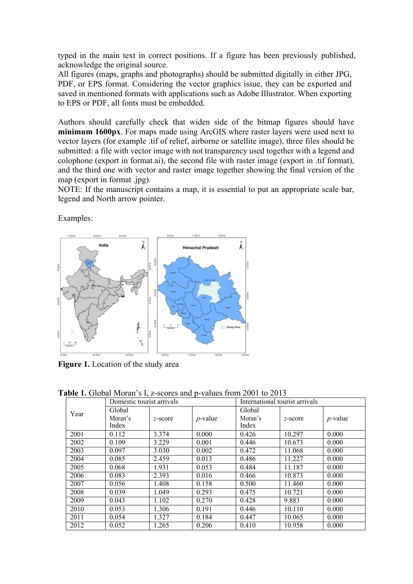typed in the main text in correct positions. If a figure has been previously published, acknowledge the original source.

All figures (maps, graphs and photographs) should be submitted digitally in either JPG, PDF, or EPS format. Considering the vector graphics issue, they can be exported and saved in mentioned formats with applications such as Adobe Illustrator. When exporting to EPS or PDF, all fonts must be embedded.

Authors should carefully check that widen side of the bitmap figures should have **minimum 1600px**. For maps made using ArcGIS where raster layers were used next to vector layers (for example .tif of relief, airborne or satellite image), three files should be submitted: a file with vector image with not transparency used together with a legend and colophone (export in format.ai), the second file with raster image (export in .tif format), and the third one with vector and raster image together showing the final version of the map (export in format .jpg).

NOTE: If the manuscript contains a map, it is essential to put an appropriate scale bar, legend and North arrow pointer.

Examples:



**Figure 1.** Location of the study area

|      | $\mu$ and $\mu$ or $\mu$ and $\mu$ and $\mu$ are $\mu$ and $\mu$ and $\mu$ and $\mu$ and $\mu$ and $\mu$ and $\mu$<br>Domestic tourist arrivals |            |            | International tourist arrivals |            |            |
|------|-------------------------------------------------------------------------------------------------------------------------------------------------|------------|------------|--------------------------------|------------|------------|
| Year | Global<br>Moran's<br>Index                                                                                                                      | $z$ -score | $p$ -value | Global<br>Moran's<br>Index     | $z$ -score | $p$ -value |
| 2001 | 0.112                                                                                                                                           | 3.374      | 0.000      | 0.426                          | 10.297     | 0.000      |
| 2002 | 0.109                                                                                                                                           | 3.229      | 0.001      | 0.446                          | 10.673     | 0.000      |
| 2003 | 0.097                                                                                                                                           | 3.030      | 0.002      | 0.472                          | 11.068     | 0.000      |
| 2004 | 0.085                                                                                                                                           | 2.459      | 0.013      | 0.486                          | 11.227     | 0.000      |
| 2005 | 0.068                                                                                                                                           | 1.931      | 0.053      | 0.484                          | 11.187     | 0.000      |
| 2006 | 0.083                                                                                                                                           | 2.393      | 0.016      | 0.466                          | 10.873     | 0.000      |
| 2007 | 0.056                                                                                                                                           | 1.408      | 0.158      | 0.500                          | 11.460     | 0.000      |
| 2008 | 0.039                                                                                                                                           | 1.049      | 0.293      | 0.475                          | 10.721     | 0.000      |
| 2009 | 0.043                                                                                                                                           | 1.102      | 0.270      | 0.428                          | 9.883      | 0.000      |
| 2010 | 0.053                                                                                                                                           | 1.306      | 0.191      | 0.446                          | 10.110     | 0.000      |
| 2011 | 0.054                                                                                                                                           | 1.327      | 0.184      | 0.447                          | 10.065     | 0.000      |
| 2012 | 0.052                                                                                                                                           | 1.265      | 0.206      | 0.410                          | 10.958     | 0.000      |

**Table 1.** Global Moran's I, z-scores and p-values from 2001 to 2013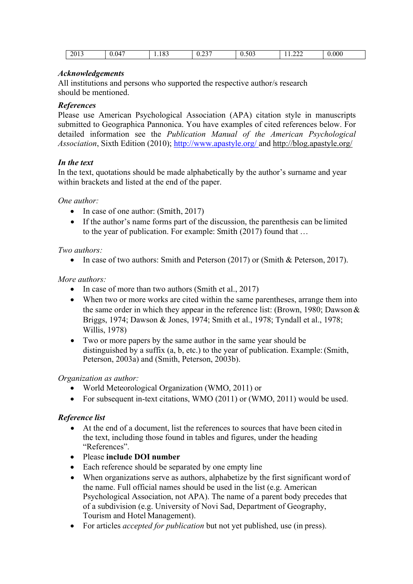| 2013<br>0.047<br>∟ O<br>1.100 | $\mathbf{A} \mathbf{A} \mathbf{B}$<br>∪ ⊶<br>and the state of the state of the state of | $\sim$ $\sim$<br>0.50z | ∼^<br>$\overline{1}$ | $0.000\,$ |
|-------------------------------|-----------------------------------------------------------------------------------------|------------------------|----------------------|-----------|
|-------------------------------|-----------------------------------------------------------------------------------------|------------------------|----------------------|-----------|

## *Acknowledgements*

All institutions and persons who supported the respective author/s research should be mentioned.

## *References*

Please use American Psychological Association (APA) citation style in manuscripts submitted to Geographica Pannonica. You have examples of cited references below. For detailed information see the *Publication Manual of the American Psychological Association*, Sixth Edition (2010); http://www.apastyle.org/ and http://blog.apastyle.org/

## *In the text*

In the text, quotations should be made alphabetically by the author's surname and year within brackets and listed at the end of the paper.

## *One author:*

- In case of one author: (Smith, 2017)
- If the author's name forms part of the discussion, the parenthesis can be limited to the year of publication. For example: Smith  $(2017)$  found that ...

#### *Two authors:*

• In case of two authors: Smith and Peterson (2017) or (Smith & Peterson, 2017).

## *More authors:*

- In case of more than two authors (Smith et al., 2017)
- When two or more works are cited within the same parentheses, arrange them into the same order in which they appear in the reference list: (Brown, 1980; Dawson& Briggs, 1974; Dawson & Jones, 1974; Smith et al., 1978; Tyndall et al., 1978; Willis, 1978)
- Two or more papers by the same author in the same year should be distinguished by a suffix (a, b, etc.) to the year of publication. Example:(Smith, Peterson, 2003a) and (Smith, Peterson, 2003b).

#### *Organization as author:*

- World Meteorological Organization (WMO, 2011) or
- For subsequent in-text citations, WMO (2011) or (WMO, 2011) would be used.

## *Reference list*

- At the end of a document, list the references to sources that have been cited in the text, including those found in tables and figures, under the heading "References".
- Please **include DOI number**
- Each reference should be separated by one empty line
- When organizations serve as authors, alphabetize by the first significant word of the name. Full official names should be used in the list (e.g. American Psychological Association, not APA). The name of a parent body precedes that of a subdivision (e.g. University of Novi Sad, Department of Geography, Tourism and Hotel Management).
- For articles *accepted for publication* but not yet published, use (in press).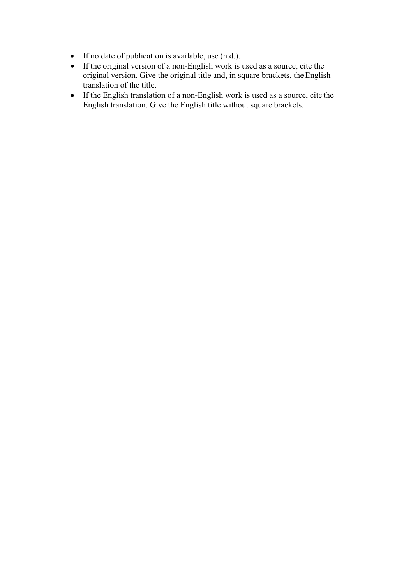- If no date of publication is available, use (n.d.).
- If the original version of a non-English work is used as a source, cite the original version. Give the original title and, in square brackets, the English translation of the title.
- If the English translation of a non-English work is used as a source, cite the English translation. Give the English title without square brackets.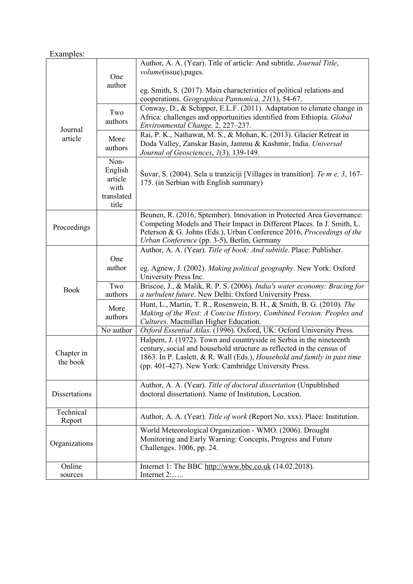# Examples:

|                        | One<br>author                                             | Author, A. A. (Year). Title of article: And subtitle. Journal Title,<br><i>volume</i> (issue), pages.<br>eg. Smith, S. (2017). Main characteristics of political relations and<br>cooperations. Geographica Pannonica, 21(1), 54-67.                                              |  |  |
|------------------------|-----------------------------------------------------------|-----------------------------------------------------------------------------------------------------------------------------------------------------------------------------------------------------------------------------------------------------------------------------------|--|--|
| Journal<br>article     | Two<br>authors                                            | Conway, D., & Schipper, E.L.F. (2011). Adaptation to climate change in<br>Africa: challenges and opportunities identified from Ethiopia. Global<br>Environmental Change, 2, 227-237.                                                                                              |  |  |
|                        | More<br>authors                                           | Rai, P. K., Nathawat, M. S., & Mohan, K. (2013). Glacier Retreat in<br>Doda Valley, Zanskar Basin, Jammu & Kashmir, India. Universal<br>Journal of Geosciences, 1(3), 139-149.                                                                                                    |  |  |
|                        | Non-<br>English<br>article<br>with<br>translated<br>title | Šuvar, S. (2004). Sela u tranziciji [Villages in transition]. Te m e, 3, 167-<br>175. (in Serbian with English summary)                                                                                                                                                           |  |  |
| Proceedings            |                                                           | Beunen, R. (2016, Sptember). Innovation in Protected Area Governance:<br>Competing Models and Their Impact in Different Places. In J. Smith, L.<br>Peterson & G. Johns (Eds.), Urban Conference 2016, Proceedings of the<br>Urban Conference (pp. 3-5), Berlin, Germany           |  |  |
|                        | One<br>author                                             | Author, A. A. (Year). Title of book: And subtitle. Place: Publisher.<br>eg. Agnew, J. (2002). Making political geography. New York: Oxford<br>University Press Inc.                                                                                                               |  |  |
| <b>Book</b>            | Two<br>authors                                            | Briscoe, J., & Malik, R. P. S. (2006). India's water economy: Bracing for<br>a turbulent future. New Delhi: Oxford University Press.                                                                                                                                              |  |  |
|                        | More<br>authors                                           | Hunt, L., Martin, T. R., Rosenwein, B. H., & Smith, B. G. (2010). The<br>Making of the West: A Concise History, Combined Version: Peoples and<br>Cultures. Macmillan Higher Education.                                                                                            |  |  |
|                        | No author                                                 | Oxford Essential Atlas. (1996). Oxford, UK: Ocford University Press.                                                                                                                                                                                                              |  |  |
| Chapter in<br>the book |                                                           | Halpern, J. (1972). Town and countryside in Serbia in the nineteenth<br>century, social and household structure as reflected in the census of<br>1863. In P. Laslett, & R. Wall (Eds.), Household and family in past time<br>(pp. 401-427). New York: Cambridge University Press. |  |  |
| Dissertations          |                                                           | Author, A. A. (Year). Title of doctoral dissertation (Unpublished<br>doctoral dissertation). Name of Institution, Location.                                                                                                                                                       |  |  |
| Technical<br>Report    |                                                           | Author, A. A. (Year). Title of work (Report No. xxx). Place: Institution.                                                                                                                                                                                                         |  |  |
| Organizations          |                                                           | World Meteorological Organization - WMO. (2006). Drought<br>Monitoring and Early Warning: Concepts, Progress and Future<br>Challenges. 1006, pp. 24.                                                                                                                              |  |  |
| Online<br>sources      |                                                           | Internet 1: The BBC http://www.bbc.co.uk (14.02.2018).<br>Internet 2:                                                                                                                                                                                                             |  |  |